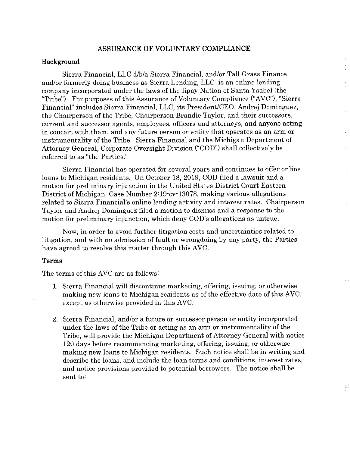## **ASSURANCE OF VOLUNTARY COMPLIANCE**

## **Background**

Sierra Financial, LLC d/b/a Sierra Financial, and/or Tall Grass Finance and/or formerly doing business as Sierra Lending, LLC is an online lending company incorporated under the laws of the Iipay Nation of Santa Ysabel (the "Tribe"). For purposes of this Assurance of Voluntary Compliance ("AVC"), "Sierra Financial" includes Sierra Financial, LLC, its President/CEO, Andrej Dominguez, the Chairperson of the Tribe, Chairperson Brandie Taylor, and their successors, current and successor agents, employees, officers and attorneys, and anyone acting in concert with them, and any future person or entity that operates as an arm or instrumentality of the Tribe. Sierra Financial and the Michigan Department of Attorney General, Corporate Oversight Division ("COD") shall collectively be referred to as "the Parties."

Sierra Financial has operated for several years and continues to offer online loans to Michigan residents. On October 18, 2019, COD filed a lawsuit and a motion for preliminary injunction in the United States District Court Eastern District of Michigan, Case Number 2:19·cv·13078, making various allegations related to Sierra Financial's online lending activity and interest rates. Chairperson Taylor and Andrej Dominguez filed a motion to dismiss and a response to the motion for preliminary injunction, which deny COD's allegations as untrue.

Now, in order to avoid further litigation costs and uncertainties related to litigation, and with no admission of fault or wrongdoing by any party, the Parties have agreed to resolve this matter through this AVC.

## **Terms**

The terms of this AVC are as follows:

- 1. Sierra Financial will discontinue marketing, offering, issuing, or otherwise making new loans to Michigan residents as of the effective date of this AVC, except as otherwise provided in this AVC.
- 2. Sierra Financial, and/or a future or successor person or entity incorporated under the laws of the Tribe or acting as an arm or instrumentality of the Tribe, will provide the Michigan Department of Attorney General with notice 120 days before recommencing marketing, offering, issuing, or otherwise making new loans to Michigan residents. Such notice shall be in writing and describe the loans, and include the loan terms and conditions, interest rates, and notice provisions provided to potential borrowers. The notice shall be sent to: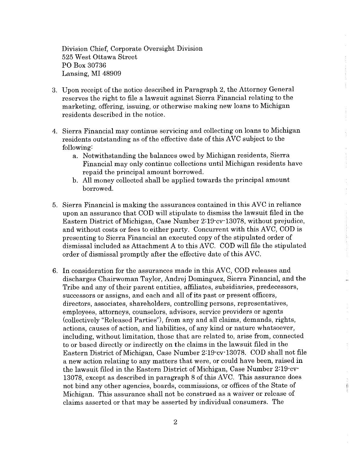Division Chief, Corporate Oversight Division 525 West Ottawa Street PO Box 30736 Lansing, MI 48909

- 3. Upon receipt of the notice described in Paragraph 2, the Attorney General reserves the right to file a lawsuit against Sierra Financial relating to the marketing, offering, issuing, or otherwise making new loans to Michigan residents described in the notice.
- 4. Sierra Financial may continue servicing and collecting on loans to Michigan residents outstanding as of the effective date of this AVC subject to the following:
	- a. Notwithstanding the balances owed by Michigan residents, Sierra Financial may only continue collections until Michigan residents have repaid the principal amount borrowed.
	- b. All money collected shall be applied towards the principal amount borrowed.
- 5. Sierra Financial is making the assurances contained in this AVC in reliance upon an assurance that COD will stipulate to dismiss the lawsuit filed in the Eastern District of Michigan, Case Number 2:19-cv-13078, without prejudice, and without costs or fees to either party. Concurrent with this AVC, COD is presenting to Sierra Financial an executed copy of the stipulated order of dismissal included as Attachment A to this AVC. COD will file the stipulated order of dismissal promptly after the effective date of this AVC.
- 6. In consideration for the assurances made in this AVC, COD releases and discharges Chairwoman Taylor, Andrej Dominguez, Sierra Financial, and the Tribe and any of their parent entities, affiliates, subsidiaries, predecessors, successors or assigns, and each and all of its past or present officers, directors, associates, shareholders, controlling persons, representatives, employees, attorneys, counselors, advisors, service providers or agents (collectively "Released Parties"), from any and all claims, demands, rights, actions, causes of action, and liabilities, of any kind or nature whatsoever, including, without limitation, those that are related to, arise from, connected to or based directly or indirectly on the claims in the lawsuit filed in the Eastern District of Michigan, Case Number 2:19-cv-13078. COD shall not file a new action relating to any matters that were, or could have been, raised in the lawsuit filed in the Eastern District of Michigan, Case Number 2:19-cv· 13078, except as described in paragraph 8 of this AVC. This assurance does not bind any other agencies, boards, commissions, or offices of the State of Michigan. This assurance shall not be construed as a waiver or release of claims asserted or that may be asserted by individual consumers. The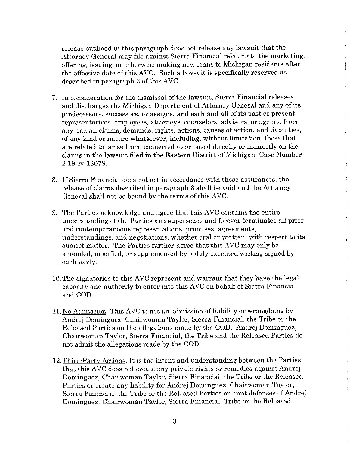release outlined in this paragraph does not release any lawsuit that the Attorney General may file against Sierra Financial relating to the marketing, offering, issuing, or otherwise making new loans to Michigan residents after the effective date of this AVC. Such a lawsuit is specifically reserved as described in paragraph 3 of this AVC.

- 7. In consideration for the dismissal of the lawsuit, Sierra Financial releases and discharges the Michigan Department of Attorney General and any of its predecessors, successors, or assigns, and each and all of its past or present representatives, employees, attorneys, counselors, advisors, or agents, from any and all claims, demands, rights, actions, causes of action, and liabilities, of any kind or nature whatsoever, including, without limitation, those that are related to, arise from, connected to or based directly or indirectly on the claims in the lawsuit filed in the Eastern District of Michigan, Case Number 2:19-cv· 13078.
- 8. If Sierra Financial does not act in accordance with these assurances, the release of claims described in paragraph 6 shall be void and the Attorney General shall not be bound by the terms of this AVC.
- 9. The Parties acknowledge and agree that this AVC contains the entire understanding of the Parties and supersedes and forever terminates all prior and contemporaneous representations, promises, agreements, understandings, and negotiations, whether oral or written, with respect to its subject matter. The Parties further agree that this AVC may only be amended, modified, or supplemented by a duly executed writing signed by each party.
- 10. The signatories to this AVC represent and warrant that they have the legal capacity and authority to enter into this AVC on behalf of Sierra Financial and COD.
- 11. No Admission. This AVC is not an admission of liability or wrongdoing by Andrej Dominguez, Chairwoman Taylor, Sierra Financial, the Tribe or the Released Parties on the allegations made by the COD. Andrej Dominguez, Chairwoman Taylor, Sierra Financial, the Tribe and the Released Parties do not admit the allegations made by the COD.
- 12. Third-Party Actions. It is the intent and understanding between the Parties that this AVC does not create any private rights or remedies against Andrej Dominguez, Chairwoman Taylor, Sierra Financial, the Tribe or the Released Parties or create any liability for Andrej Dominguez, Chairwoman Taylor, Sierra Financial, the Tribe or the Released Parties or limit defenses of Andrej Dominguez, Chairwoman Taylor, Sierra Financial, Tribe or the Released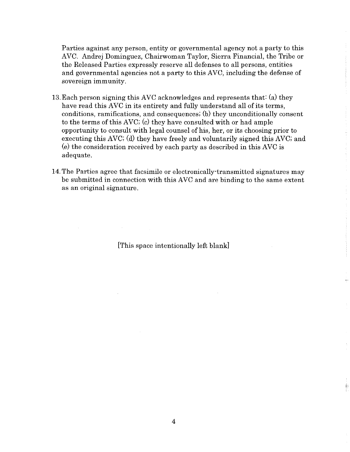Parties against any person, entity or governmental agency not a party to this AVC. Andrej Dominguez, Chairwoman Taylor, Sierra Financial, the Tribe or the Released Parties expressly reserve all defenses to all persons, entities and governmental agencies not a party to this AVC, including the defense of sovereign immunity.

- 13. Each person signing this AVC acknowledges and represents that: (a) they have read this AVC in its entirety and fully understand all of its terms, conditions, ramifications, and consequences; (b) they unconditionally consent to the terms of this AVC; (c) they have consulted with or had ample opportunity to consult with legal counsel of his, her, or its choosing prior to executing this AVC; (d) they have freely and voluntarily signed this AVC; and  $(e)$  the consideration received by each party as described in this AVC is adequate.
- 14. The Parties agree that facsimile or electronically·transmitted signatures may be submitted in connection with this AVC and are binding to the same extent as an original signature.

[This space intentionally left blank]